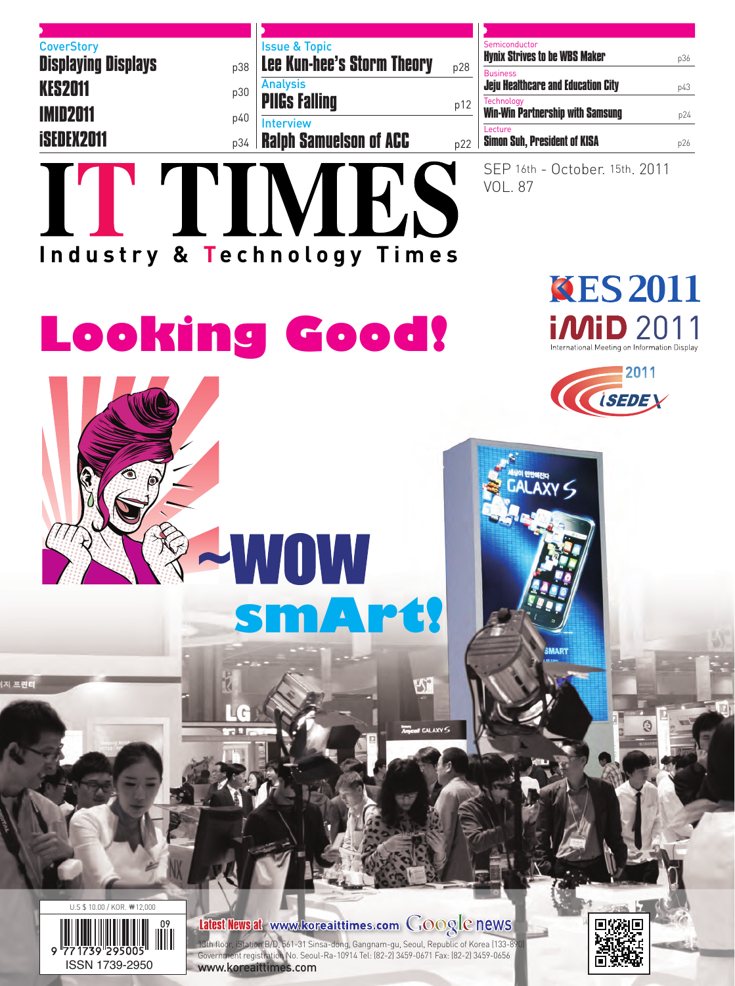| <b>Issue &amp; Topic</b><br><b>Lee Kun-hee's Storm Theory</b> | p28 |
|---------------------------------------------------------------|-----|
| <b>Analysis</b><br><b>PIIGs Falling</b>                       | p12 |
| <b>Interview</b><br><b>Ralph Samuelson of ACC</b>             | p22 |
|                                                               |     |

|  | Semiconductor                                                |     |
|--|--------------------------------------------------------------|-----|
|  | <b>Hynix Strives to be WBS Maker</b>                         | p36 |
|  | <b>Business</b><br><b>Jeju Healthcare and Education City</b> | p43 |
|  | Technology<br><b>Win-Win Partnership with Samsung</b>        | p24 |
|  | <b>Lecture</b><br><b>Simon Suh, President of KISA</b>        | p26 |
|  |                                                              |     |

SEP 16th - October. 15th. 2011 VOL. 87

# TTIMES **Industry & Technology Times**

**Looking Good!**



2011

*ISEDE Y* 







|저 프린터

### Latest News at www.koreaittimes.com GOOgle news

1.<br>13th floor, iStation B/D, 561-31 Sinsa-dong, Gangnam-gu, Seoul, Republic of Korea (133-8) Government registration No. Seoul-Ra-10914 Tel: (82-2) 3459-0671 Fax: (82-2) 3459-0656 ISSN 1739-2950 www.koreaittimes.com